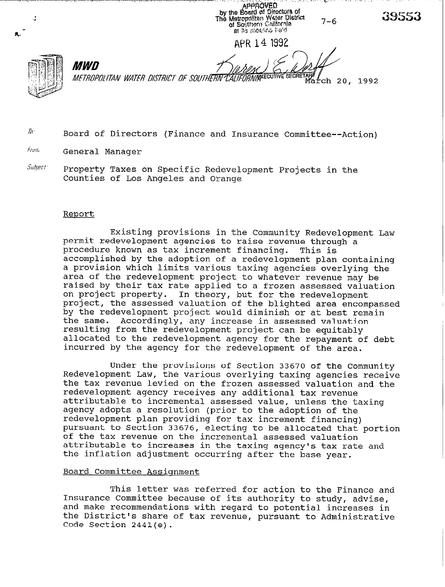APPROVED<br>by the Board of Directors of<br>The Metropoliten Water District<br>of Southern California 39553  $7 - 6$ of Southern California et its moeting i eto APR 14 1992 *MWD* METROPOLITAN WATER DISTRICT OF SOUTHERN CALIFORNIA<sup>CC</sup> March 20, 1992

- $\bar{h}$  **Board of Directors (Finance and Insurance Committee--Action)**
- **iiN/,. General Manager**
- **5%b/ec/' Property Taxes on Specific Redevelopment Projects in the Counties of Los Angeles and Orange**

#### **Report**

**Existing provisions in the Community Redevelopment Law permit redevelopment agencies to raise revenue through a**  procedure known as tax increment financing. **accomplished by the adoption of a redevelopment plan containing a provision which limits various taxing agencies overlying the area of the redevelopment project to whatever revenue may be raised by their tax rate applied to a frozen assessed valuation on project property. In theory, but for the redevelopment project, the assessed valuation of the blighted area encompassed by the redevelopment project would diminish or at best remain the same. Accordingly, any increase in assessed valuation resulting from the redevelopment project can be equitably allocated to the redevelopment agency for the repayment of debt incurred by the agency for the redevelopment of the area.** 

**Under the provisions of Section 33670 of the Community Redevelopment Law, the various overlying taxing agencies receive the tax revenue levied on the frozen assessed valuation and the redevelopment agency receives any additional tax revenue attributable to incremental assessed value, unless the taxing agency adopts a resolution (prior to the adoption of the redevelopment plan providing for tax increment financing) pursuant to Section 33676, electing to be allocated that portion of the tax revenue on the incremental assessed valuation attributable to increases in the taxing agency's tax rate and the inflation adjustment occurring after the base year.** 

#### **Board Committee Assiqnment**

**This letter was referred for action to the Finance and Insurance Committee because of its authority to study, advise, and make recommendations with regard to potential increases in the District's share of tax revenue, pursuant to Administrative Code Section 2441(e).**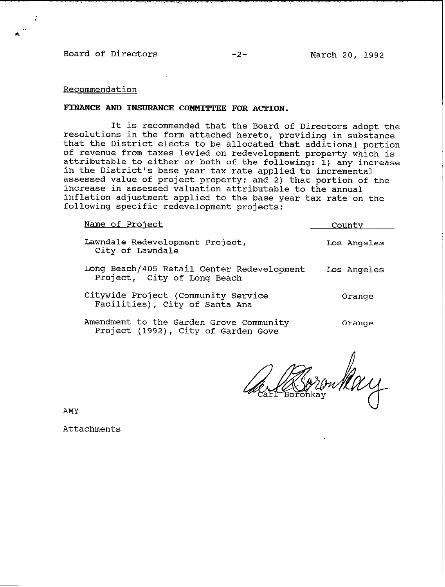**Board of Directors -2- March 20, 1992** 

# **Recommendation**

#### **FINANCE AND INSURANCE COMMITTEE FOR ACTION.**

**It is recommended that the Board of Directors adopt the resolutions in the form attached hereto, providing in substance that the District elects to be allocated that additional portion of revenue from taxes levied on redevelopment property which is attributable to either or both of the following: 1) any increase in the District's base year tax rate applied to incremental assessed value of project property; and 2) that portion of the increase in assessed valuation attributable to the annual inflation adjustment applied to the base year tax rate on the following specific redevelopment projects:** 

| Name of Project                                                                | County      |
|--------------------------------------------------------------------------------|-------------|
| Lawndale Redevelopment Project,<br>City of Lawndale                            | Los Angeles |
| Long Beach/405 Retail Center Redevelopment<br>Project, City of Long Beach      | Los Angeles |
| Citywide Project (Community Service<br>Facilities), City of Santa Ana          | Orange      |
| Amendment to the Garden Grove Community<br>Project (1992), City of Garden Gove | Orange      |

AMY

**Attachments**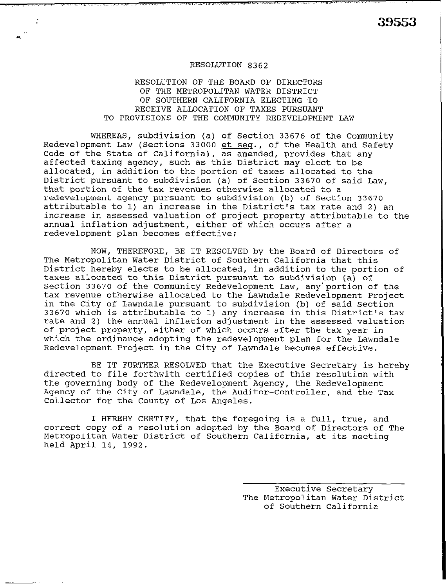# RESOLUTION 8362

# RESOLUTION OF THE BOARD OF DIRECTORS OF THE METROPOLITAN WATER DISTRICT OF SOUTHERN CALIFORNIA ELECTING TO RECEIVE ALLOCATION OF TAXES PURSUANT TO PROVISIONS OF THE COMMUNITY REDEVELOPMENT LAW

WHEREAS, subdivision (a) of Section 33676 of the Community Redevelopment Law (Sections 33000 et seg., of the Health and Safety Code of the State of California), as amended, provides that any affected taxing agency, such as this District may elect to be allocated, in addition to the portion of taxes allocated to the District pursuant to subdivision (a) of Section 33670 of said Law, that portion of the tax revenues otherwise allocated to a redevelopment agency pursuant to subdivision (b) of Section 33670 attributable to 1) an increase in the District's tax rate and 2) an increase in assessed valuation of project property attributable to the annual inflation adjustment, either of which occurs after a redevelopment plan becomes effective;

NOW, THEREFORE, BE IT RESOLVED by the Board of Directors of The Metropolitan Water District of Southern California that this District hereby elects to be allocated, in addition to the portion of taxes allocated to this District pursuant to subdivision (a) of Section 33670 of the Community Redevelopment Law, any'portion of the tax revenue otherwise allocated to the Lawndale Redevelopment Project in the City of Lawndale pursuant to subdivision (b) of said Section 33670 which is attributable to 1) any increase in this District's tax rate and 2) the annual inflation adjustment in the assessed valuation of project property, either of which occurs after the tax year in which the ordinance adopting the redevelopment plan for the Lawndale Redevelopment Project in the City of Lawndale becomes effective.

BE IT FURTHER RESOLVED that the Executive Secretary is hereby directed to file forthwith certified copies of this resolution with the governing body of the Redevelopment Agency, the Redevelopment Agency of the City of Lawndale, the Auditor-Controller, and the Tax Collector for the County of Los Angeles.

I HEREBY CERTIFY, that the foregoing is a full, true, and correct copy of a resolution adopted by the Board of Directors of The Metropolitan Water District of Southern California, at its meeting held April 14, 1992.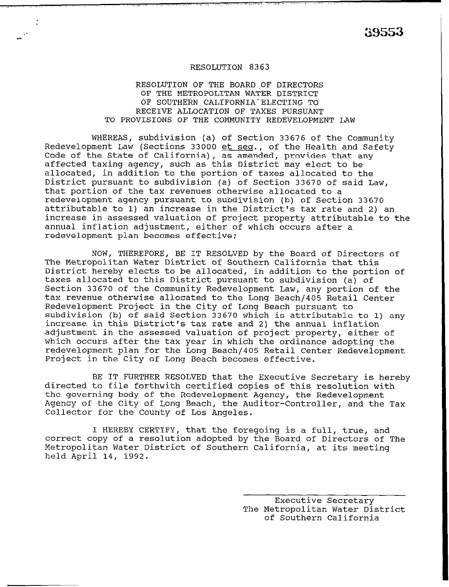. . 39553

### RESOLUTION 8363

RESOLUTION OF THE BOARD OF DIRECTORS OF THE METROPOLITAN WATER DISTRICT OF SOUTHERN CALIFORNIA ELECTING TO RECEIVE ALLOCATION OF TAXES PURSUANT TO PROVISIONS OF THE COMMUNITY REDEVELOPMENT LAW

WHEREAS, subdivision (a) of Section 33676 of the Community Redevelopment Law (Sections 33000 et seq., of the Health and Safety Code of the State of California), as amended, provides that any affected taxing agency, such as this District may elect to be allocated, in addition to the portion of taxes allocated to the District pursuant to subdivision (a) of Section 33670 of said Law, that portion of the tax revenues otherwise allocated to a redevelopment agency pursuant to subdivision (b) of Section 33670 attributable to 1) an increase in the District's tax rate and 2) an increase in assessed valuation of project property attributable to the annual inflation adjustment, either of which occurs after a redevelopment plan becomes effective;

NOW, THEREFORE, BE IT RESOLVED by the Board of Directors of The Metropolitan Water District of Southern California that this District hereby elects to be allocated, in addition to the portion of taxes allocated to this District pursuant to subdivision (a) of Section 33670 of the Community Redevelopment Law, any portion of the tax revenue otherwise allocated to the Long Beach/405 Retail Center Redevelopment Project in the City of Long Beach pursuant to subdivision (b) of said Section 33670 which is attributable to 1) any increase in this District's tax rate and 2) the annual inflation adjustment in the assessed valuation of project property, either of which occurs after the tax year in which the ordinance adopting the redevelopment plan for the Long Beach/405 Retail Center Redevelopment Project in the City of Long Beach becomes effective.

BE IT FURTHER RESOLVED that the Executive Secretary is hereby directed to file forthwith certified copies of this resolution with the governing body of the Redevelopment Agency, the Redevelopment Agency of the City of Long Beach, the Auditor-Controller, and the Tax Collector for the county of Los Angeles.

I HEREBY CERTIFY, that the foregoing is a full, true, and correct copy of a resolution adopted by the Board of Directors of The Metropolitan Water District of Southern California, at its meeting held April 14, 1992.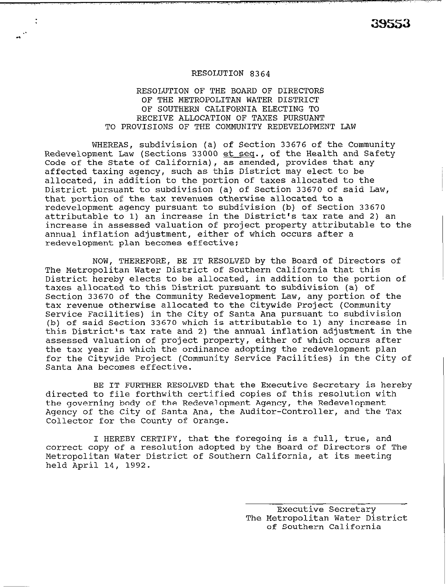#### **RESOLUTION 8364**

. .

# **RESOLUTION OF THE BOARD OF DIRECTORS OF THE METROPOLITAN WATER DISTRICT OF SOUTHERN CALIFORNIA ELECTING TO RECEIVE ALLOCATION OF TAXES PURSUANT TO PROVISIONS OF THE COMMUNITY REDEVELOPMENT LAW**

**WHEREAS, subdivision (a) of Section 33676 of the Community Redevelopment Law (Sections 33000 et seq., of the Health and Safety Code of the State of California), as amended, provides that any affected taxing agency, such as this District may elect to be allocated, in addition to the portion of taxes allocated to the District pursuant to subdivision (a) of Section 33670 of said Law, that portion of the tax revenues otherwise allocated to a redevelopment agency pursuant to subdivision (b) of Section 33670 attributable to 1) an increase in the District's tax rate and 2) an increase in assessed valuation of project property attributable to the annual inflation adjustment, either of which occurs after a redevelopment plan becomes effective;** 

**NOW, THEREFORE, BE IT RESOLVED by the Board of Directors of The Metropolitan Water District of Southern California that this District hereby elects to be allocated, in addition to the portion of taxes allocated to this District pursuant to subdivision (a) of Section 33670 of the Community Redevelopment Law, any portion of the tax revenue otherwise allocated to the Citywide Project (Community Service Facilities) in the City of Santa Ana pursuant to subdivision (b) of said Section 33670 which is attributable to 1) any increase in this District's tax rate and 2) the annual inflation adjustment in the assessed valuation of project property, either of which occurs after the tax year in which the ordinance adopting the redevelopment plan for the Citywide Project (Community Service Facilities) in the City of Santa Ana becomes effective.** 

**BE IT FURTHER RESOLVED that the Executive Secretary is hereby directed to file forthwith certified copies of this resolution with the governing body of the Redevelopment Agency, the Redevelopment Agency of the City of Santa Ana, the Auditor-Controller, and the Tax Collector for the County of Orange.** 

**I HEREBY CERTIFY, that the foregoing is a full, true, and correct copy of a resolution adopted by the Board of Directors of The Metropolitan Water District of Southern California, at its meeting held April 14, 1992.**